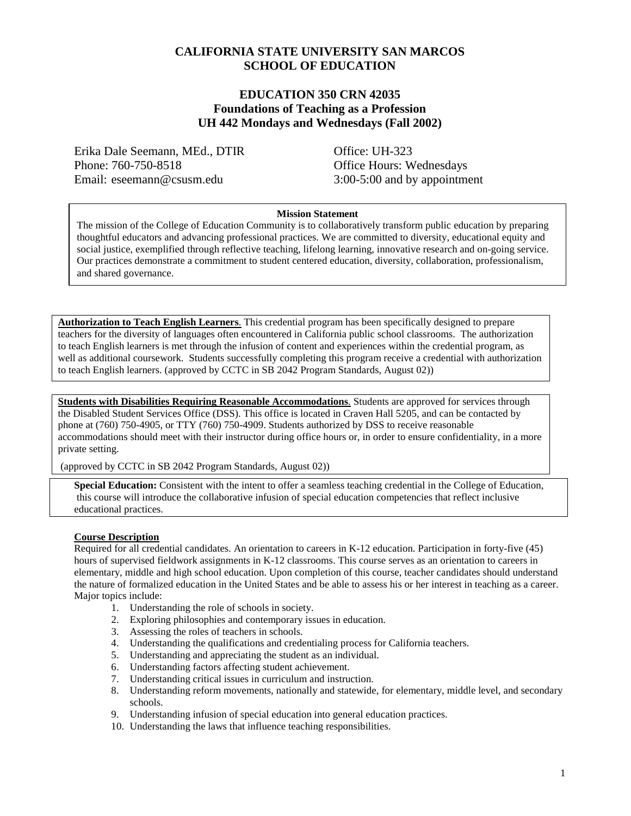#### **CALIFORNIA STATE UNIVERSITY SAN MARCOS SCHOOL OF EDUCATION**

#### **EDUCATION 350 CRN 42035 Foundations of Teaching as a Profession UH 442 Mondays and Wednesdays (Fall 2002)**

Erika Dale Seemann, MEd., DTIR Office: UH-323 Phone: 760-750-8518 Office Hours: Wednesdays Email: eseemann@csusm.edu 3:00-5:00 and by appointment

#### **Mission Statement**

The mission of the College of Education Community is to collaboratively transform public education by preparing thoughtful educators and advancing professional practices. We are committed to diversity, educational equity and social justice, exemplified through reflective teaching, lifelong learning, innovative research and on-going service. Our practices demonstrate a commitment to student centered education, diversity, collaboration, professionalism, and shared governance.

**Authorization to Teach English Learners**. This credential program has been specifically designed to prepare teachers for the diversity of languages often encountered in California public school classrooms. The authorization to teach English learners is met through the infusion of content and experiences within the credential program, as well as additional coursework. Students successfully completing this program receive a credential with authorization to teach English learners. (approved by CCTC in SB 2042 Program Standards, August 02))

**Students with Disabilities Requiring Reasonable Accommodations**. Students are approved for services through the Disabled Student Services Office (DSS). This office is located in Craven Hall 5205, and can be contacted by phone at (760) 750-4905, or TTY (760) 750-4909. Students authorized by DSS to receive reasonable accommodations should meet with their instructor during office hours or, in order to ensure confidentiality, in a more private setting.

(approved by CCTC in SB 2042 Program Standards, August 02))

**Special Education:** Consistent with the intent to offer a seamless teaching credential in the College of Education, this course will introduce the collaborative infusion of special education competencies that reflect inclusive educational practices.

#### **Course Description**

Required for all credential candidates. An orientation to careers in K-12 education. Participation in forty-five (45) hours of supervised fieldwork assignments in K-12 classrooms. This course serves as an orientation to careers in elementary, middle and high school education. Upon completion of this course, teacher candidates should understand the nature of formalized education in the United States and be able to assess his or her interest in teaching as a career. Major topics include:

- 1. Understanding the role of schools in society.
- 2. Exploring philosophies and contemporary issues in education.
- 3. Assessing the roles of teachers in schools.
- 4. Understanding the qualifications and credentialing process for California teachers.
- 5. Understanding and appreciating the student as an individual.
- 6. Understanding factors affecting student achievement.
- 7. Understanding critical issues in curriculum and instruction.
- 8. Understanding reform movements, nationally and statewide, for elementary, middle level, and secondary schools.
- 9. Understanding infusion of special education into general education practices.
- 10. Understanding the laws that influence teaching responsibilities.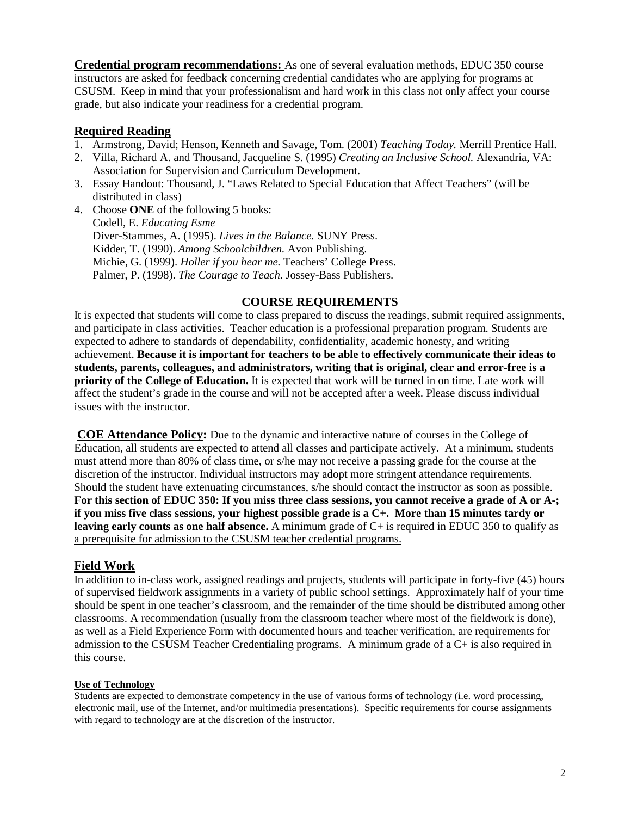**Credential program recommendations:** As one of several evaluation methods, EDUC 350 course instructors are asked for feedback concerning credential candidates who are applying for programs at CSUSM. Keep in mind that your professionalism and hard work in this class not only affect your course grade, but also indicate your readiness for a credential program.

#### **Required Reading**

- 1. Armstrong, David; Henson, Kenneth and Savage, Tom. (2001) *Teaching Today.* Merrill Prentice Hall.
- 2. Villa, Richard A. and Thousand, Jacqueline S. (1995) *Creating an Inclusive School.* Alexandria, VA: Association for Supervision and Curriculum Development.
- 3. Essay Handout: Thousand, J. "Laws Related to Special Education that Affect Teachers" (will be distributed in class)
- 4. Choose **ONE** of the following 5 books: Codell, E. *Educating Esme* Diver-Stammes, A. (1995). *Lives in the Balance.* SUNY Press. Kidder, T. (1990). *Among Schoolchildren.* Avon Publishing. Michie, G. (1999). *Holler if you hear me.* Teachers' College Press. Palmer, P. (1998). *The Courage to Teach.* Jossey-Bass Publishers.

#### **COURSE REQUIREMENTS**

It is expected that students will come to class prepared to discuss the readings, submit required assignments, and participate in class activities. Teacher education is a professional preparation program. Students are expected to adhere to standards of dependability, confidentiality, academic honesty, and writing achievement. **Because it is important for teachers to be able to effectively communicate their ideas to students, parents, colleagues, and administrators, writing that is original, clear and error-free is a priority of the College of Education.** It is expected that work will be turned in on time. Late work will affect the student's grade in the course and will not be accepted after a week. Please discuss individual issues with the instructor.

**COE Attendance Policy:** Due to the dynamic and interactive nature of courses in the College of Education, all students are expected to attend all classes and participate actively. At a minimum, students must attend more than 80% of class time, or s/he may not receive a passing grade for the course at the discretion of the instructor. Individual instructors may adopt more stringent attendance requirements. Should the student have extenuating circumstances, s/he should contact the instructor as soon as possible. **For this section of EDUC 350: If you miss three class sessions, you cannot receive a grade of A or A-; if you miss five class sessions, your highest possible grade is a C+. More than 15 minutes tardy or leaving early counts as one half absence.** <u>A minimum grade of C+ is required in EDUC 350 to qualify as</u> a prerequisite for admission to the CSUSM teacher credential programs.

## **Field Work**

In addition to in-class work, assigned readings and projects, students will participate in forty-five (45) hours of supervised fieldwork assignments in a variety of public school settings. Approximately half of your time should be spent in one teacher's classroom, and the remainder of the time should be distributed among other classrooms. A recommendation (usually from the classroom teacher where most of the fieldwork is done), as well as a Field Experience Form with documented hours and teacher verification, are requirements for admission to the CSUSM Teacher Credentialing programs. A minimum grade of a C+ is also required in this course.

#### **Use of Technology**

Students are expected to demonstrate competency in the use of various forms of technology (i.e. word processing, electronic mail, use of the Internet, and/or multimedia presentations). Specific requirements for course assignments with regard to technology are at the discretion of the instructor.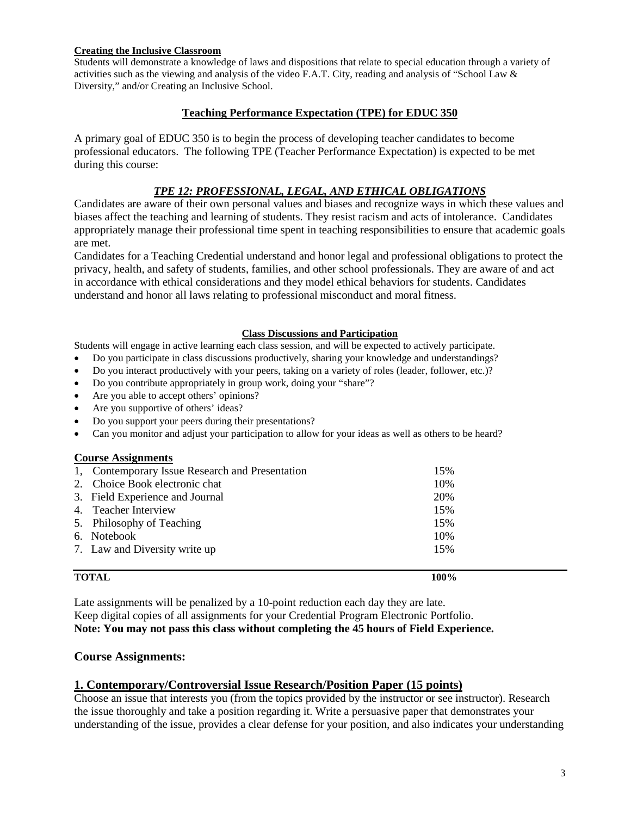#### **Creating the Inclusive Classroom**

Students will demonstrate a knowledge of laws and dispositions that relate to special education through a variety of activities such as the viewing and analysis of the video F.A.T. City, reading and analysis of "School Law & Diversity," and/or Creating an Inclusive School.

#### **Teaching Performance Expectation (TPE) for EDUC 350**

A primary goal of EDUC 350 is to begin the process of developing teacher candidates to become professional educators. The following TPE (Teacher Performance Expectation) is expected to be met during this course:

#### *TPE 12: PROFESSIONAL, LEGAL, AND ETHICAL OBLIGATIONS*

Candidates are aware of their own personal values and biases and recognize ways in which these values and biases affect the teaching and learning of students. They resist racism and acts of intolerance. Candidates appropriately manage their professional time spent in teaching responsibilities to ensure that academic goals are met.

Candidates for a Teaching Credential understand and honor legal and professional obligations to protect the privacy, health, and safety of students, families, and other school professionals. They are aware of and act in accordance with ethical considerations and they model ethical behaviors for students. Candidates understand and honor all laws relating to professional misconduct and moral fitness.

#### **Class Discussions and Participation**

Students will engage in active learning each class session, and will be expected to actively participate.

• Do you participate in class discussions productively, sharing your knowledge and understandings?

- Do you interact productively with your peers, taking on a variety of roles (leader, follower, etc.)?
- Do you contribute appropriately in group work, doing your "share"?
- Are you able to accept others' opinions?
- Are you supportive of others' ideas?
- Do you support your peers during their presentations?
- Can you monitor and adjust your participation to allow for your ideas as well as others to be heard?

#### **Course Assignments**

| <b>TOTAL</b>                                    | 100% |
|-------------------------------------------------|------|
| 7. Law and Diversity write up                   | 15%  |
| 6. Notebook                                     | 10%  |
| 5. Philosophy of Teaching                       | 15%  |
| 4. Teacher Interview                            | 15%  |
| 3. Field Experience and Journal                 | 20%  |
| 2. Choice Book electronic chat                  | 10%  |
| 1, Contemporary Issue Research and Presentation | 15%  |

Late assignments will be penalized by a 10-point reduction each day they are late. Keep digital copies of all assignments for your Credential Program Electronic Portfolio. **Note: You may not pass this class without completing the 45 hours of Field Experience.**

#### **Course Assignments:**

#### **1. Contemporary/Controversial Issue Research/Position Paper (15 points)**

Choose an issue that interests you (from the topics provided by the instructor or see instructor). Research the issue thoroughly and take a position regarding it. Write a persuasive paper that demonstrates your understanding of the issue, provides a clear defense for your position, and also indicates your understanding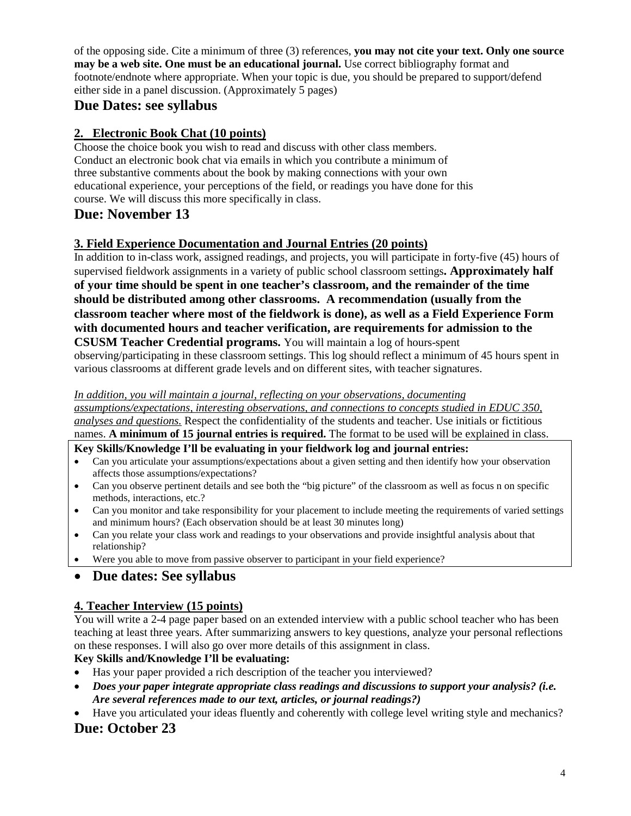of the opposing side. Cite a minimum of three (3) references, **you may not cite your text. Only one source may be a web site. One must be an educational journal.** Use correct bibliography format and footnote/endnote where appropriate. When your topic is due, you should be prepared to support/defend either side in a panel discussion. (Approximately 5 pages)

# **Due Dates: see syllabus**

## **2. Electronic Book Chat (10 points)**

Choose the choice book you wish to read and discuss with other class members. Conduct an electronic book chat via emails in which you contribute a minimum of three substantive comments about the book by making connections with your own educational experience, your perceptions of the field, or readings you have done for this course. We will discuss this more specifically in class.

# **Due: November 13**

## **3. Field Experience Documentation and Journal Entries (20 points)**

In addition to in-class work, assigned readings, and projects, you will participate in forty-five (45) hours of supervised fieldwork assignments in a variety of public school classroom settings**. Approximately half of your time should be spent in one teacher's classroom, and the remainder of the time should be distributed among other classrooms. A recommendation (usually from the classroom teacher where most of the fieldwork is done), as well as a Field Experience Form with documented hours and teacher verification, are requirements for admission to the CSUSM Teacher Credential programs.** You will maintain a log of hours-spent

observing/participating in these classroom settings. This log should reflect a minimum of 45 hours spent in various classrooms at different grade levels and on different sites, with teacher signatures.

#### *In addition, you will maintain a journal, reflecting on your observations, documenting*

*assumptions/expectations, interesting observations, and connections to concepts studied in EDUC 350, analyses and questions.* Respect the confidentiality of the students and teacher. Use initials or fictitious names. **A minimum of 15 journal entries is required.** The format to be used will be explained in class.

#### **Key Skills/Knowledge I'll be evaluating in your fieldwork log and journal entries:**

- Can you articulate your assumptions/expectations about a given setting and then identify how your observation affects those assumptions/expectations?
- Can you observe pertinent details and see both the "big picture" of the classroom as well as focus n on specific methods, interactions, etc.?
- Can you monitor and take responsibility for your placement to include meeting the requirements of varied settings and minimum hours? (Each observation should be at least 30 minutes long)
- Can you relate your class work and readings to your observations and provide insightful analysis about that relationship?
- Were you able to move from passive observer to participant in your field experience?

# • **Due dates: See syllabus**

## **4. Teacher Interview (15 points)**

You will write a 2-4 page paper based on an extended interview with a public school teacher who has been teaching at least three years. After summarizing answers to key questions, analyze your personal reflections on these responses. I will also go over more details of this assignment in class.

## **Key Skills and/Knowledge I'll be evaluating:**

- Has your paper provided a rich description of the teacher you interviewed?
- *Does your paper integrate appropriate class readings and discussions to support your analysis? (i.e. Are several references made to our text, articles, or journal readings?)*
- Have you articulated your ideas fluently and coherently with college level writing style and mechanics?

# **Due: October 23**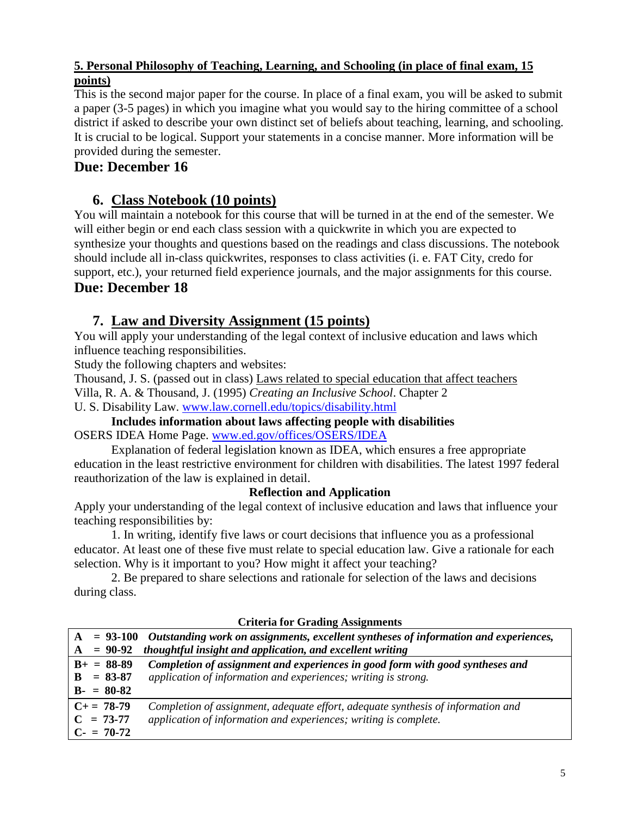## **5. Personal Philosophy of Teaching, Learning, and Schooling (in place of final exam, 15 points)**

This is the second major paper for the course. In place of a final exam, you will be asked to submit a paper (3-5 pages) in which you imagine what you would say to the hiring committee of a school district if asked to describe your own distinct set of beliefs about teaching, learning, and schooling. It is crucial to be logical. Support your statements in a concise manner. More information will be provided during the semester.

# **Due: December 16**

# **6. Class Notebook (10 points)**

You will maintain a notebook for this course that will be turned in at the end of the semester. We will either begin or end each class session with a quickwrite in which you are expected to synthesize your thoughts and questions based on the readings and class discussions. The notebook should include all in-class quickwrites, responses to class activities (i. e. FAT City, credo for support, etc.), your returned field experience journals, and the major assignments for this course.

# **Due: December 18**

# **7. Law and Diversity Assignment (15 points)**

You will apply your understanding of the legal context of inclusive education and laws which influence teaching responsibilities.

Study the following chapters and websites:

Thousand, J. S. (passed out in class) Laws related to special education that affect teachers

Villa, R. A. & Thousand, J. (1995) *Creating an Inclusive School*. Chapter 2

U. S. Disability Law. [www.law.cornell.edu/topics/disability.html](http://www.law.cornell.edu/topics/disability.html)

## **Includes information about laws affecting people with disabilities** OSERS IDEA Home Page. [www.ed.gov/offices/OSERS/IDEA](http://www.ed.gov/offices/OSERS/IDEA)

Explanation of federal legislation known as IDEA, which ensures a free appropriate education in the least restrictive environment for children with disabilities. The latest 1997 federal reauthorization of the law is explained in detail.

## **Reflection and Application**

Apply your understanding of the legal context of inclusive education and laws that influence your teaching responsibilities by:

1. In writing, identify five laws or court decisions that influence you as a professional educator. At least one of these five must relate to special education law. Give a rationale for each selection. Why is it important to you? How might it affect your teaching?

2. Be prepared to share selections and rationale for selection of the laws and decisions during class.

|  |                   | $A = 93-100$ Outstanding work on assignments, excellent syntheses of information and experiences, |
|--|-------------------|---------------------------------------------------------------------------------------------------|
|  | $A = 90-92$       | thoughtful insight and application, and excellent writing                                         |
|  | $B+ = 88-89$      | Completion of assignment and experiences in good form with good syntheses and                     |
|  | $B = 83-87$       | application of information and experiences; writing is strong.                                    |
|  | $B - = 80 - 82$   |                                                                                                   |
|  | $C_{\pm} = 78-79$ | Completion of assignment, adequate effort, adequate synthesis of information and                  |
|  | $C = 73-77$       | application of information and experiences; writing is complete.                                  |
|  | $C = 70-72$       |                                                                                                   |

## **Criteria for Grading Assignments**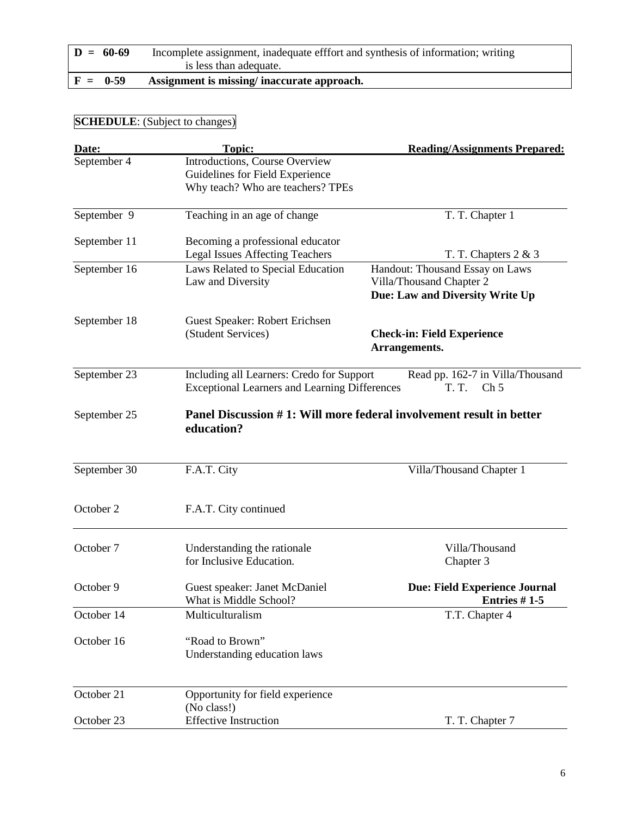| $D = 60-69$ | Incomplete assignment, inadequate efffort and synthesis of information; writing<br>is less than adequate. |
|-------------|-----------------------------------------------------------------------------------------------------------|
| $F = 0.59$  | Assignment is missing/inaccurate approach.                                                                |

# **SCHEDULE**: (Subject to changes)

| Date:        | <b>Topic:</b>                                                                                     | <b>Reading/Assignments Prepared:</b>                                                           |
|--------------|---------------------------------------------------------------------------------------------------|------------------------------------------------------------------------------------------------|
| September 4  | Introductions, Course Overview<br>Guidelines for Field Experience                                 |                                                                                                |
|              | Why teach? Who are teachers? TPEs                                                                 |                                                                                                |
| September 9  | Teaching in an age of change                                                                      | T. T. Chapter 1                                                                                |
| September 11 | Becoming a professional educator<br><b>Legal Issues Affecting Teachers</b>                        | T. T. Chapters $2 \& 3$                                                                        |
| September 16 | Laws Related to Special Education<br>Law and Diversity                                            | Handout: Thousand Essay on Laws<br>Villa/Thousand Chapter 2<br>Due: Law and Diversity Write Up |
| September 18 | Guest Speaker: Robert Erichsen<br>(Student Services)                                              | <b>Check-in: Field Experience</b><br>Arrangements.                                             |
| September 23 | Including all Learners: Credo for Support<br><b>Exceptional Learners and Learning Differences</b> | Read pp. 162-7 in Villa/Thousand<br><b>T. T.</b><br>Ch <sub>5</sub>                            |
| September 25 | education?                                                                                        | Panel Discussion #1: Will more federal involvement result in better                            |
| September 30 | F.A.T. City                                                                                       | Villa/Thousand Chapter 1                                                                       |
| October 2    | F.A.T. City continued                                                                             |                                                                                                |
| October 7    | Understanding the rationale<br>for Inclusive Education.                                           | Villa/Thousand<br>Chapter 3                                                                    |
| October 9    | Guest speaker: Janet McDaniel<br>What is Middle School?                                           | <b>Due: Field Experience Journal</b><br>Entries # 1-5                                          |
| October 14   | Multiculturalism                                                                                  | T.T. Chapter 4                                                                                 |
| October 16   | "Road to Brown"<br>Understanding education laws                                                   |                                                                                                |
| October 21   | Opportunity for field experience<br>(No class!)                                                   |                                                                                                |
| October 23   | <b>Effective Instruction</b>                                                                      | T. T. Chapter 7                                                                                |